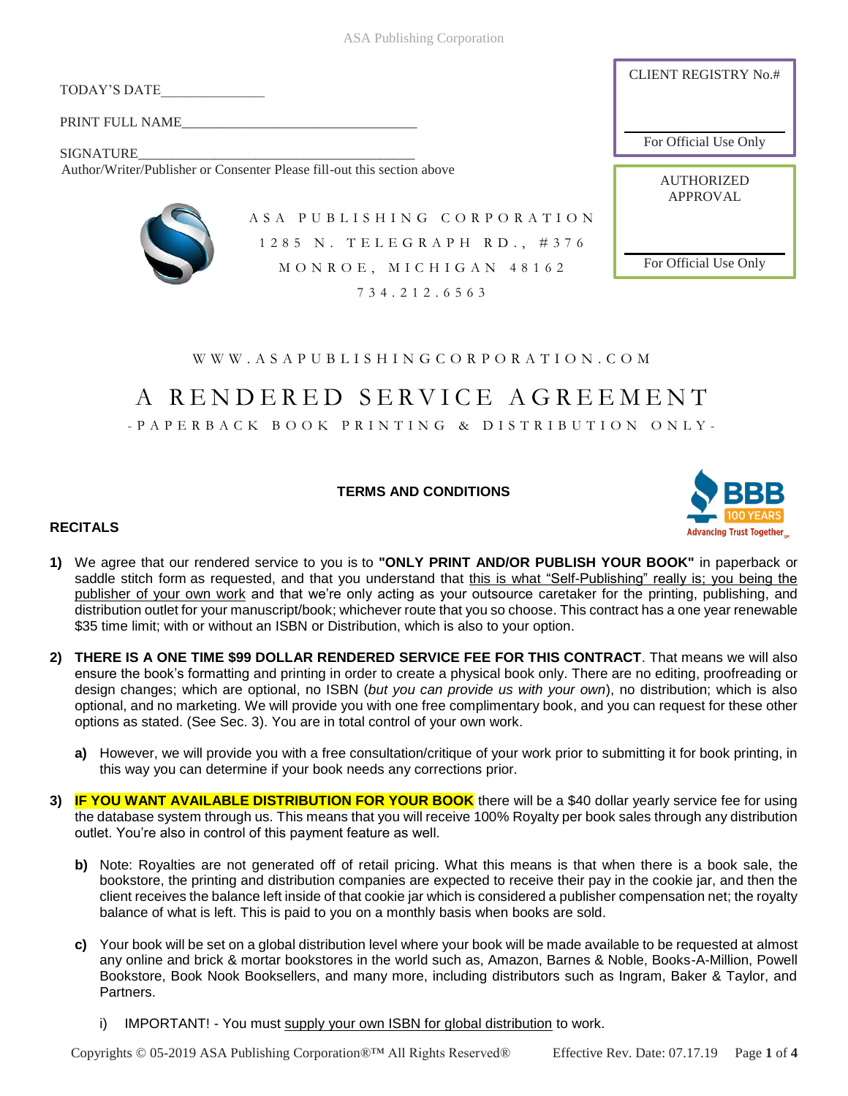ASA Publishing Corporation

TODAY'S DATE\_\_\_\_\_\_\_\_\_\_\_\_\_\_\_

PRINT FULL NAME

SIGNATURE Author/Writer/Publisher or Consenter Please fill-out this section above



A S A P U B L I S H I N G C O R P O R A T I O N 1 2 8 5 N . T E L E G R A P H R D . , # 3 7 6 MONROE, MICHIGAN 48162 734. 2 1 2 . 6 5 6 3

W W W . A S A P U B L I S H I N G C O R P O R A T I O N . C O M

# A R E N D E R E D S E R V I C E A G R E E M E N T

- P A P E R B A C K B O O K P R I N T I N G & D I S T R I B U T I O N O N L Y -

**TERMS AND CONDITIONS**



CLIENT REGISTRY No.#

For Official Use Only

**AUTHORIZED** APPROVAL

For Official Use Only

# **RECITALS**

- **1)** We agree that our rendered service to you is to **"ONLY PRINT AND/OR PUBLISH YOUR BOOK"** in paperback or saddle stitch form as requested, and that you understand that this is what "Self-Publishing" really is; you being the publisher of your own work and that we're only acting as your outsource caretaker for the printing, publishing, and distribution outlet for your manuscript/book; whichever route that you so choose. This contract has a one year renewable \$35 time limit; with or without an ISBN or Distribution, which is also to your option.
- **2) THERE IS A ONE TIME \$99 DOLLAR RENDERED SERVICE FEE FOR THIS CONTRACT**. That means we will also ensure the book's formatting and printing in order to create a physical book only. There are no editing, proofreading or design changes; which are optional, no ISBN (*but you can provide us with your own*), no distribution; which is also optional, and no marketing. We will provide you with one free complimentary book, and you can request for these other options as stated. (See Sec. 3). You are in total control of your own work.
	- **a)** However, we will provide you with a free consultation/critique of your work prior to submitting it for book printing, in this way you can determine if your book needs any corrections prior.
- **3) IF YOU WANT AVAILABLE DISTRIBUTION FOR YOUR BOOK** there will be a \$40 dollar yearly service fee for using the database system through us. This means that you will receive 100% Royalty per book sales through any distribution outlet. You're also in control of this payment feature as well.
	- **b)** Note: Royalties are not generated off of retail pricing. What this means is that when there is a book sale, the bookstore, the printing and distribution companies are expected to receive their pay in the cookie jar, and then the client receives the balance left inside of that cookie jar which is considered a publisher compensation net; the royalty balance of what is left. This is paid to you on a monthly basis when books are sold.
	- **c)** Your book will be set on a global distribution level where your book will be made available to be requested at almost any online and brick & mortar bookstores in the world such as, Amazon, Barnes & Noble, Books-A-Million, Powell Bookstore, Book Nook Booksellers, and many more, including distributors such as Ingram, Baker & Taylor, and Partners.
		- i) IMPORTANT! You must supply your own ISBN for global distribution to work.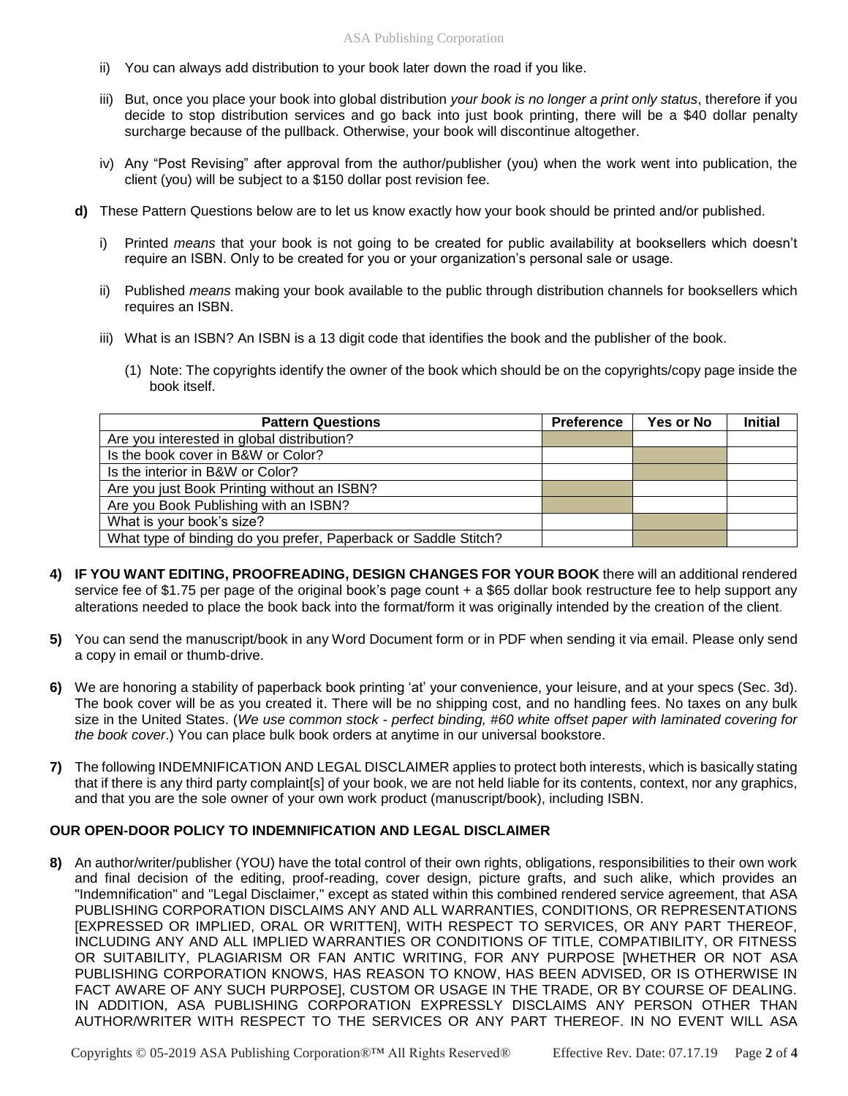- ii) You can always add distribution to your book later down the road if you like.
- iii) But, once you place your book into global distribution *your book is no longer a print only status*, therefore if you decide to stop distribution services and go back into just book printing, there will be a \$40 dollar penalty surcharge because of the pullback. Otherwise, your book will discontinue altogether.
- iv) Any "Post Revising" after approval from the author/publisher (you) when the work went into publication, the client (you) will be subject to a \$150 dollar post revision fee.
- **d)** These Pattern Questions below are to let us know exactly how your book should be printed and/or published.
	- i) Printed *means* that your book is not going to be created for public availability at booksellers which doesn't require an ISBN. Only to be created for you or your organization's personal sale or usage.
	- ii) Published *means* making your book available to the public through distribution channels for booksellers which requires an ISBN.
	- iii) What is an ISBN? An ISBN is a 13 digit code that identifies the book and the publisher of the book.
		- (1) Note: The copyrights identify the owner of the book which should be on the copyrights/copy page inside the book itself.

| <b>Pattern Questions</b>                                        | <b>Preference</b> | Yes or No | <b>Initial</b> |
|-----------------------------------------------------------------|-------------------|-----------|----------------|
| Are you interested in global distribution?                      |                   |           |                |
| Is the book cover in B&W or Color?                              |                   |           |                |
| Is the interior in B&W or Color?                                |                   |           |                |
| Are you just Book Printing without an ISBN?                     |                   |           |                |
| Are you Book Publishing with an ISBN?                           |                   |           |                |
| What is your book's size?                                       |                   |           |                |
| What type of binding do you prefer, Paperback or Saddle Stitch? |                   |           |                |

- **4) IF YOU WANT EDITING, PROOFREADING, DESIGN CHANGES FOR YOUR BOOK** there will an additional rendered service fee of \$1.75 per page of the original book's page count + a \$65 dollar book restructure fee to help support any alterations needed to place the book back into the format/form it was originally intended by the creation of the client.
- **5)** You can send the manuscript/book in any Word Document form or in PDF when sending it via email. Please only send a copy in email or thumb-drive.
- **6)** We are honoring a stability of paperback book printing 'at' your convenience, your leisure, and at your specs (Sec. 3d). The book cover will be as you created it. There will be no shipping cost, and no handling fees. No taxes on any bulk size in the United States. (*We use common stock - perfect binding, #60 white offset paper with laminated covering for the book cover*.) You can place bulk book orders at anytime in our universal bookstore.
- **7)** The following INDEMNIFICATION AND LEGAL DISCLAIMER applies to protect both interests, which is basically stating that if there is any third party complaint[s] of your book, we are not held liable for its contents, context, nor any graphics, and that you are the sole owner of your own work product (manuscript/book), including ISBN.

## **OUR OPEN-DOOR POLICY TO INDEMNIFICATION AND LEGAL DISCLAIMER**

**8)** An author/writer/publisher (YOU) have the total control of their own rights, obligations, responsibilities to their own work and final decision of the editing, proof-reading, cover design, picture grafts, and such alike, which provides an "Indemnification" and "Legal Disclaimer," except as stated within this combined rendered service agreement, that ASA PUBLISHING CORPORATION DISCLAIMS ANY AND ALL WARRANTIES, CONDITIONS, OR REPRESENTATIONS [EXPRESSED OR IMPLIED, ORAL OR WRITTEN], WITH RESPECT TO SERVICES, OR ANY PART THEREOF, INCLUDING ANY AND ALL IMPLIED WARRANTIES OR CONDITIONS OF TITLE, COMPATIBILITY, OR FITNESS OR SUITABILITY, PLAGIARISM OR FAN ANTIC WRITING, FOR ANY PURPOSE [WHETHER OR NOT ASA PUBLISHING CORPORATION KNOWS, HAS REASON TO KNOW, HAS BEEN ADVISED, OR IS OTHERWISE IN FACT AWARE OF ANY SUCH PURPOSE], CUSTOM OR USAGE IN THE TRADE, OR BY COURSE OF DEALING. IN ADDITION, ASA PUBLISHING CORPORATION EXPRESSLY DISCLAIMS ANY PERSON OTHER THAN AUTHOR/WRITER WITH RESPECT TO THE SERVICES OR ANY PART THEREOF. IN NO EVENT WILL ASA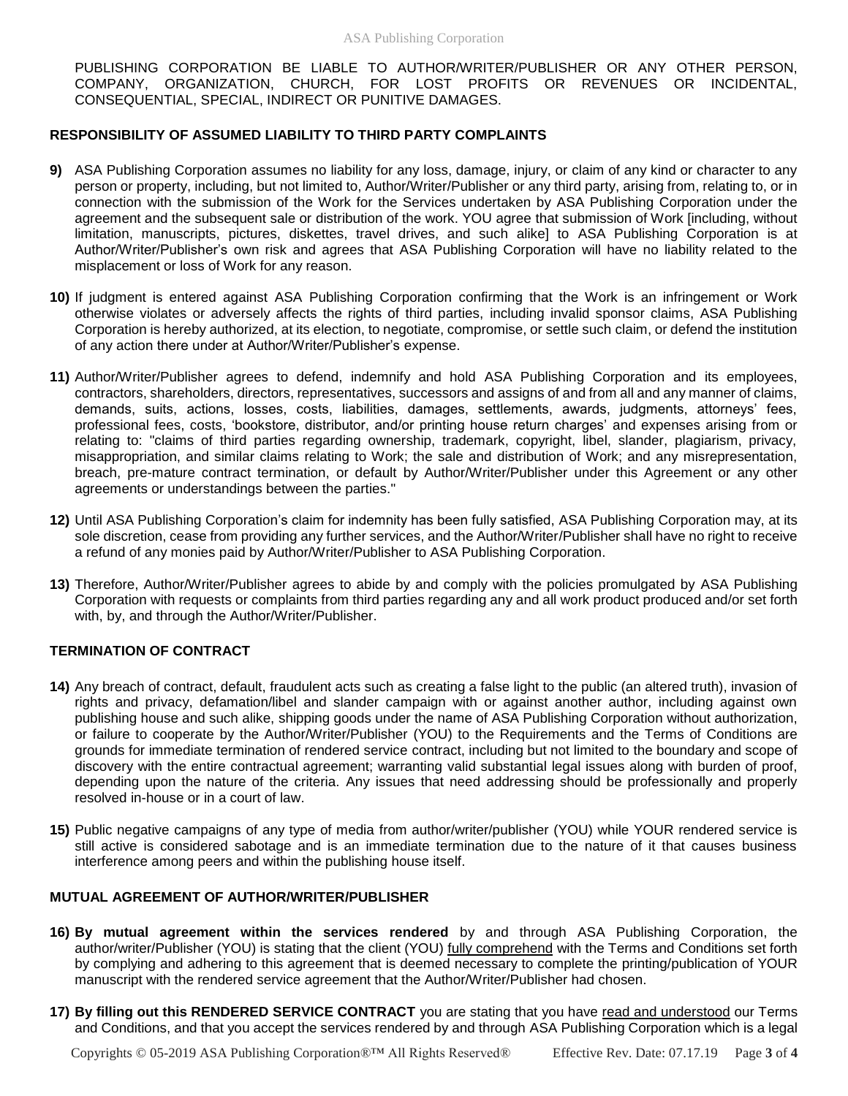PUBLISHING CORPORATION BE LIABLE TO AUTHOR/WRITER/PUBLISHER OR ANY OTHER PERSON, COMPANY, ORGANIZATION, CHURCH, FOR LOST PROFITS OR REVENUES OR INCIDENTAL, CONSEQUENTIAL, SPECIAL, INDIRECT OR PUNITIVE DAMAGES.

## **RESPONSIBILITY OF ASSUMED LIABILITY TO THIRD PARTY COMPLAINTS**

- **9)** ASA Publishing Corporation assumes no liability for any loss, damage, injury, or claim of any kind or character to any person or property, including, but not limited to, Author/Writer/Publisher or any third party, arising from, relating to, or in connection with the submission of the Work for the Services undertaken by ASA Publishing Corporation under the agreement and the subsequent sale or distribution of the work. YOU agree that submission of Work [including, without limitation, manuscripts, pictures, diskettes, travel drives, and such alike] to ASA Publishing Corporation is at Author/Writer/Publisher's own risk and agrees that ASA Publishing Corporation will have no liability related to the misplacement or loss of Work for any reason.
- **10)** If judgment is entered against ASA Publishing Corporation confirming that the Work is an infringement or Work otherwise violates or adversely affects the rights of third parties, including invalid sponsor claims, ASA Publishing Corporation is hereby authorized, at its election, to negotiate, compromise, or settle such claim, or defend the institution of any action there under at Author/Writer/Publisher's expense.
- **11)** Author/Writer/Publisher agrees to defend, indemnify and hold ASA Publishing Corporation and its employees, contractors, shareholders, directors, representatives, successors and assigns of and from all and any manner of claims, demands, suits, actions, losses, costs, liabilities, damages, settlements, awards, judgments, attorneys' fees, professional fees, costs, 'bookstore, distributor, and/or printing house return charges' and expenses arising from or relating to: "claims of third parties regarding ownership, trademark, copyright, libel, slander, plagiarism, privacy, misappropriation, and similar claims relating to Work; the sale and distribution of Work; and any misrepresentation, breach, pre-mature contract termination, or default by Author/Writer/Publisher under this Agreement or any other agreements or understandings between the parties."
- **12)** Until ASA Publishing Corporation's claim for indemnity has been fully satisfied, ASA Publishing Corporation may, at its sole discretion, cease from providing any further services, and the Author/Writer/Publisher shall have no right to receive a refund of any monies paid by Author/Writer/Publisher to ASA Publishing Corporation.
- **13)** Therefore, Author/Writer/Publisher agrees to abide by and comply with the policies promulgated by ASA Publishing Corporation with requests or complaints from third parties regarding any and all work product produced and/or set forth with, by, and through the Author/Writer/Publisher.

## **TERMINATION OF CONTRACT**

- **14)** Any breach of contract, default, fraudulent acts such as creating a false light to the public (an altered truth), invasion of rights and privacy, defamation/libel and slander campaign with or against another author, including against own publishing house and such alike, shipping goods under the name of ASA Publishing Corporation without authorization, or failure to cooperate by the Author/Writer/Publisher (YOU) to the Requirements and the Terms of Conditions are grounds for immediate termination of rendered service contract, including but not limited to the boundary and scope of discovery with the entire contractual agreement; warranting valid substantial legal issues along with burden of proof, depending upon the nature of the criteria. Any issues that need addressing should be professionally and properly resolved in-house or in a court of law.
- **15)** Public negative campaigns of any type of media from author/writer/publisher (YOU) while YOUR rendered service is still active is considered sabotage and is an immediate termination due to the nature of it that causes business interference among peers and within the publishing house itself.

### **MUTUAL AGREEMENT OF AUTHOR/WRITER/PUBLISHER**

- **16) By mutual agreement within the services rendered** by and through ASA Publishing Corporation, the author/writer/Publisher (YOU) is stating that the client (YOU) fully comprehend with the Terms and Conditions set forth by complying and adhering to this agreement that is deemed necessary to complete the printing/publication of YOUR manuscript with the rendered service agreement that the Author/Writer/Publisher had chosen.
- **17) By filling out this RENDERED SERVICE CONTRACT** you are stating that you have read and understood our Terms and Conditions, and that you accept the services rendered by and through ASA Publishing Corporation which is a legal